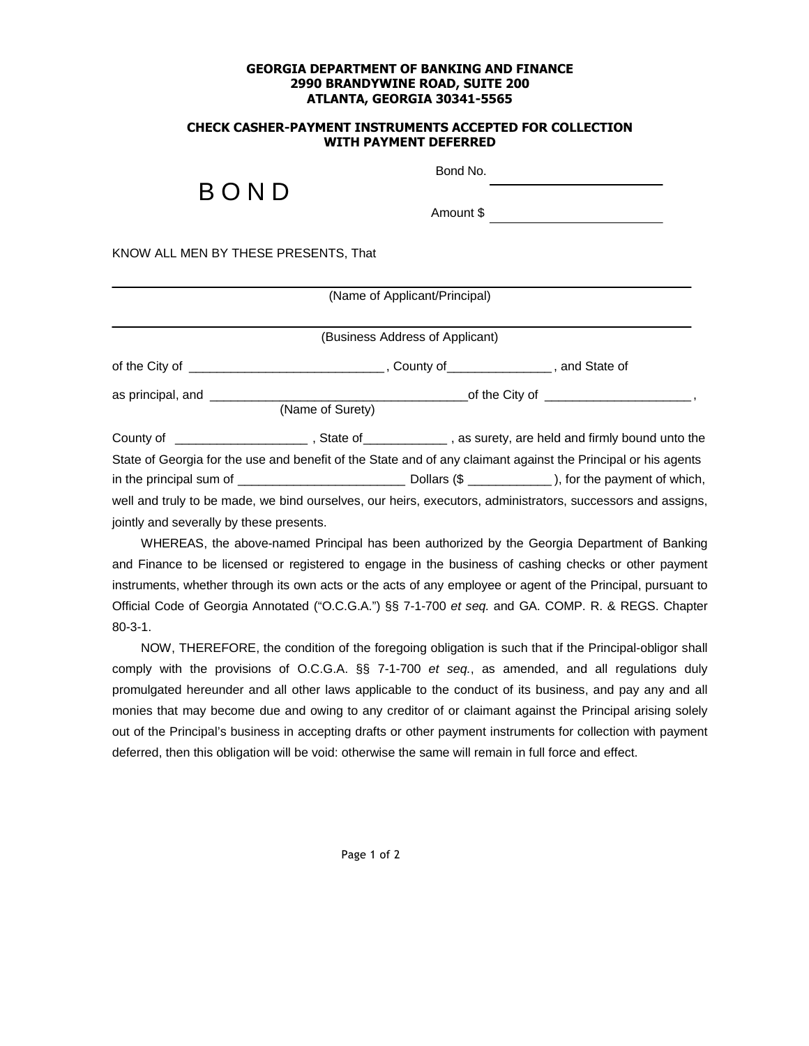## **GEORGIA DEPARTMENT OF BANKING AND FINANCE 2990 BRANDYWINE ROAD, SUITE 200 ATLANTA, GEORGIA 30341-5565**

## **CHECK CASHER-PAYMENT INSTRUMENTS ACCEPTED FOR COLLECTION WITH PAYMENT DEFERRED**

## B O N D

Bond No.

Amount \$

KNOW ALL MEN BY THESE PRESENTS, That

|                                          | (Name of Applicant/Principal)   |  |                                                                                                               |  |
|------------------------------------------|---------------------------------|--|---------------------------------------------------------------------------------------------------------------|--|
|                                          |                                 |  |                                                                                                               |  |
|                                          | (Business Address of Applicant) |  |                                                                                                               |  |
|                                          |                                 |  |                                                                                                               |  |
|                                          | (Name of Surety)                |  |                                                                                                               |  |
|                                          |                                 |  |                                                                                                               |  |
|                                          |                                 |  | State of Georgia for the use and benefit of the State and of any claimant against the Principal or his agents |  |
|                                          |                                 |  |                                                                                                               |  |
|                                          |                                 |  | well and truly to be made, we bind ourselves, our heirs, executors, administrators, successors and assigns,   |  |
| jointly and severally by these presents. |                                 |  |                                                                                                               |  |

WHEREAS, the above-named Principal has been authorized by the Georgia Department of Banking and Finance to be licensed or registered to engage in the business of cashing checks or other payment instruments, whether through its own acts or the acts of any employee or agent of the Principal, pursuant to Official Code of Georgia Annotated ("O.C.G.A.") §§ 7-1-700 *et seq.* and GA. COMP. R. & REGS. Chapter 80-3-1.

NOW, THEREFORE, the condition of the foregoing obligation is such that if the Principal-obligor shall comply with the provisions of O.C.G.A. §§ 7-1-700 *et seq.*, as amended, and all regulations duly promulgated hereunder and all other laws applicable to the conduct of its business, and pay any and all monies that may become due and owing to any creditor of or claimant against the Principal arising solely out of the Principal's business in accepting drafts or other payment instruments for collection with payment deferred, then this obligation will be void: otherwise the same will remain in full force and effect.